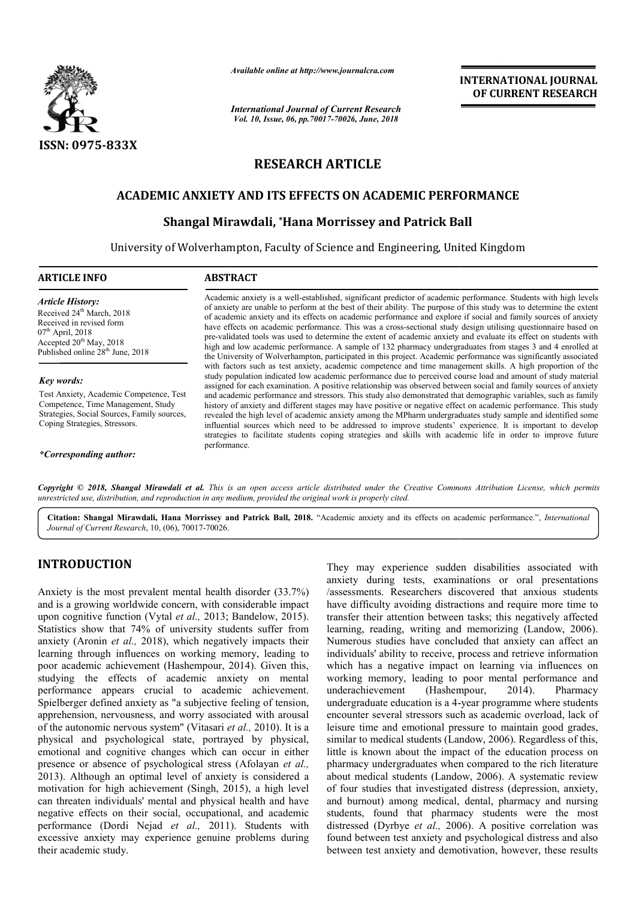

*Available online at http://www.journalcra.com*

*International Journal of Current Research Vol. 10, Issue, 06, pp.70017-70026, June, 2018*

## **INTERNATIONAL JOURNAL OF CURRENT RESEARCH**

## **RESEARCH ARTICLE**

## **ACADEMIC ANXIETY AND ITS EFFECTS ON ACADEMIC PERFORMANCE**

# IIC ANXIETY AND ITS EFFECTS ON ACADEMIC PERFOI<br>Shangal Mirawdali, \*Hana Morrissey and Patrick Ball

University of Wolverhampton, Faculty of Science and Engineering, United Engineering, United Kingdom

#### **ARTICLE INFO ABSTRACT**

*Article History:* Received 24<sup>th</sup> March, 2018 Received in revised form 07th April, 2018 Accepted  $20^{th}$  May, 2018 Published online 28<sup>th</sup> June, 2018

#### *Key words:*

Test Anxiety, Academic Competence, Test Competence, Time Management, Study Strategies, Social Sources, Family sources, Coping Strategies, Stressors.

*\*Corresponding author:*

Academic anxiety is a well-established, significant predictor of academic performance. Students with high levels of anxiety are unable to perform at the best of their ability. The purpose of this study was to determine the extent of academic anxiety and its effects on academic performance and explore if social and family sources of anxiety have effects on academic performance. This was a cross-sectional study design utilising questionnaire based on pre-validated tools was used to determine the extent of academic anxiety and evaluate its effect on students with high and low academic performance. A sample of 132 pharmacy undergraduates from stages 3 and 4 enrolled at Academic anxiety is a well-established, significant predictor of academic performance. Students with high levels<br>of anxiety are unable to perform at the best of their ability. The purpose of this study was to determine the with factors such as test anxiety, academic competence and time management skills. A high proportion of the study population indicated low academic performance due to perceived course load and amount of study material assigned for each examination. A positive relationship was observed between social and family sources of anxiety and academic performance and stressors. This study also demonstrated that demographic variables, such as family history of anxiety and different stages may have positive or negative effect on academic performance. This study revealed the high level of academic anxiety among the MPharm undergraduates study sample and identified some influential sources which need to be addressed to improve students' experience. It i strategies to facilitate students coping strategies and skills with academic life in order to improve future performance. with factors such as test anxiety, academic competence and time management skills. A high proportion of the study population indicated low academic performance due to perceived course load and amount of study material assi

Copyright © 2018, Shangal Mirawdali et al. This is an open access article distributed under the Creative Commons Attribution License, which permits *unrestricted use, distribution, and reproduction in any medium, provided the original work is properly cited.*

Citation: Shangal Mirawdali, Hana Morrissey and Patrick Ball, 2018. "Academic anxiety and its effects on academic performance.", *International Journal of Current Research*, 10, (06), 70017-70026.

## **INTRODUCTION**

Anxiety is the most prevalent mental health disorder (33.7%) and is a growing worldwide concern, with considerable impact upon cognitive function (Vytal *et al.,* 2013; Bandelow, 2015). Statistics show that 74% of university students suffer from anxiety (Aronin *et al.,* 2018), which negatively impacts their learning through influences on working memory, leading to poor academic achievement (Hashempour, 2014). Given this, studying the effects of academic anxiety on mental performance appears crucial to academic achievement. Spielberger defined anxiety as "a subjective feeling of tension, apprehension, nervousness, and worry associated with arousal of the autonomic nervous system" (Vitasari et al., 2010). It is a physical and psychological state, portrayed by physical, emotional and cognitive changes which can occur in either presence or absence of psychological stress (Afolayan et al., 2013). Although an optimal level of anxiety is considered a motivation for high achievement (Singh, 2015), a high level can threaten individuals' mental and physical health and have negative effects on their social, occupational, and academic performance (Dordi Nejad *et al.,* 2011). Students with excessive anxiety may experience genuine problems during their academic study.

They may experience sudden disabilities associated with They may experience sudden disabilities associated with anxiety during tests, examinations or oral presentations /assessments. Researchers discovered that anxious students have difficulty avoiding distractions and require more time to transfer their attention between tasks; this negatively affected learning, reading, writing and memorizing (Landow, 2006). Numerous studies have concluded that anxiety can affect an individuals' ability to receive, process and retrieve information which has a negative impact on learning via influences on working memory, leading to poor mental performance and underachievement undergraduate education is a 4- -year programme where students encounter several stressors such as academic overload, lack of leisure time and emotional pressure to maintain good grades, similar to medical students (Landow, 2006). Regardless of this, little is known about the impact of the education process on pharmacy undergraduates when compared to the rich literature about medical students (Landow, 2006). A systematic review of four studies that investigated distress (depression, anxiety, and burnout) among medical, dental, pharmacy and nursing students, found that pharmacy students were the most distressed (Dyrbye *et al.*, 2006). A positive correlation was found between test anxiety and psychological distress and also between test anxiety and demotivation, however, these results Researchers discovered that anxious students avoiding distractions and require more time to tention between tasks; this negatively affected ag, writing and memorizing (Landow, 2006). ous studies have concluded that anxiety can affect an<br>uals' ability to receive, process and retrieve information<br>has a negative impact on learning via influences on<br>g memory, leading to poor mental performance and (Hashempour, 2014). Pharmacy nter several stressors such as academic overload, lack of<br>e time and emotional pressure to maintain good grades,<br>ar to medical students (Landow, 2006). Regardless of this,<br>is known about the impact of the education process ut) among medical, dental, pharmacy and nursing<br>found that pharmacy students were the most<br>(Dyrbye *et al.*, 2006). A positive correlation was demotivation,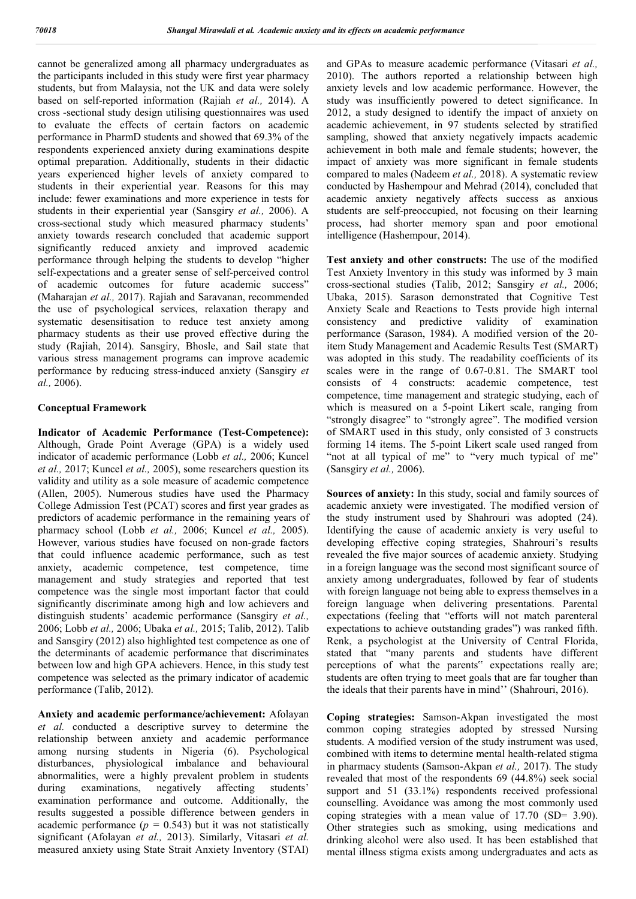cannot be generalized among all pharmacy undergraduates as the participants included in this study were first year pharmacy students, but from Malaysia, not the UK and data were solely based on self-reported information (Rajiah *et al.,* 2014). A cross -sectional study design utilising questionnaires was used to evaluate the effects of certain factors on academic performance in PharmD students and showed that 69.3% of the respondents experienced anxiety during examinations despite optimal preparation. Additionally, students in their didactic years experienced higher levels of anxiety compared to students in their experiential year. Reasons for this may include: fewer examinations and more experience in tests for students in their experiential year (Sansgiry *et al.,* 2006). A cross-sectional study which measured pharmacy students' anxiety towards research concluded that academic support significantly reduced anxiety and improved academic performance through helping the students to develop "higher self-expectations and a greater sense of self-perceived control of academic outcomes for future academic success" (Maharajan *et al.,* 2017). Rajiah and Saravanan, recommended the use of psychological services, relaxation therapy and systematic desensitisation to reduce test anxiety among pharmacy students as their use proved effective during the study (Rajiah, 2014). Sansgiry, Bhosle, and Sail state that various stress management programs can improve academic performance by reducing stress-induced anxiety (Sansgiry *et al.,* 2006).

#### **Conceptual Framework**

**Indicator of Academic Performance (Test-Competence):**  Although, Grade Point Average (GPA) is a widely used indicator of academic performance (Lobb *et al.,* 2006; Kuncel *et al.,* 2017; Kuncel *et al.,* 2005), some researchers question its validity and utility as a sole measure of academic competence (Allen, 2005). Numerous studies have used the Pharmacy College Admission Test (PCAT) scores and first year grades as predictors of academic performance in the remaining years of pharmacy school (Lobb *et al.,* 2006; Kuncel *et al.,* 2005). However, various studies have focused on non-grade factors that could influence academic performance, such as test anxiety, academic competence, test competence, time management and study strategies and reported that test competence was the single most important factor that could significantly discriminate among high and low achievers and distinguish students' academic performance (Sansgiry *et al.,*  2006; Lobb *et al.,* 2006; Ubaka *et al.,* 2015; Talib, 2012). Talib and Sansgiry (2012) also highlighted test competence as one of the determinants of academic performance that discriminates between low and high GPA achievers. Hence, in this study test competence was selected as the primary indicator of academic performance (Talib, 2012).

**Anxiety and academic performance/achievement:** Afolayan *et al.* conducted a descriptive survey to determine the relationship between anxiety and academic performance among nursing students in Nigeria (6). Psychological disturbances, physiological imbalance and behavioural abnormalities, were a highly prevalent problem in students during examinations, negatively affecting students' examination performance and outcome. Additionally, the results suggested a possible difference between genders in academic performance  $(p = 0.543)$  but it was not statistically significant (Afolayan *et al.,* 2013). Similarly, Vitasari *et al.* measured anxiety using State Strait Anxiety Inventory (STAI)

and GPAs to measure academic performance (Vitasari *et al.,*  2010). The authors reported a relationship between high anxiety levels and low academic performance. However, the study was insufficiently powered to detect significance. In 2012, a study designed to identify the impact of anxiety on academic achievement, in 97 students selected by stratified sampling, showed that anxiety negatively impacts academic achievement in both male and female students; however, the impact of anxiety was more significant in female students compared to males (Nadeem *et al.,* 2018). A systematic review conducted by Hashempour and Mehrad (2014), concluded that academic anxiety negatively affects success as anxious students are self-preoccupied, not focusing on their learning process, had shorter memory span and poor emotional intelligence (Hashempour, 2014).

**Test anxiety and other constructs:** The use of the modified Test Anxiety Inventory in this study was informed by 3 main cross-sectional studies (Talib, 2012; Sansgiry *et al.,* 2006; Ubaka, 2015). Sarason demonstrated that Cognitive Test Anxiety Scale and Reactions to Tests provide high internal consistency and predictive validity of examination performance (Sarason, 1984). A modified version of the 20 item Study Management and Academic Results Test (SMART) was adopted in this study. The readability coefficients of its scales were in the range of 0.67-0.81. The SMART tool consists of 4 constructs: academic competence, test competence, time management and strategic studying, each of which is measured on a 5-point Likert scale, ranging from "strongly disagree" to "strongly agree". The modified version of SMART used in this study, only consisted of 3 constructs forming 14 items. The 5-point Likert scale used ranged from "not at all typical of me" to "very much typical of me" (Sansgiry *et al.,* 2006).

**Sources of anxiety:** In this study, social and family sources of academic anxiety were investigated. The modified version of the study instrument used by Shahrouri was adopted (24). Identifying the cause of academic anxiety is very useful to developing effective coping strategies, Shahrouri's results revealed the five major sources of academic anxiety. Studying in a foreign language was the second most significant source of anxiety among undergraduates, followed by fear of students with foreign language not being able to express themselves in a foreign language when delivering presentations. Parental expectations (feeling that "efforts will not match parenteral expectations to achieve outstanding grades") was ranked fifth. Renk, a psychologist at the University of Central Florida, stated that "many parents and students have different perceptions of what the parents" expectations really are; students are often trying to meet goals that are far tougher than the ideals that their parents have in mind'' (Shahrouri, 2016).

**Coping strategies:** Samson-Akpan investigated the most common coping strategies adopted by stressed Nursing students. A modified version of the study instrument was used, combined with items to determine mental health-related stigma in pharmacy students (Samson-Akpan *et al.,* 2017). The study revealed that most of the respondents 69 (44.8%) seek social support and 51 (33.1%) respondents received professional counselling. Avoidance was among the most commonly used coping strategies with a mean value of 17.70 (SD= 3.90). Other strategies such as smoking, using medications and drinking alcohol were also used. It has been established that mental illness stigma exists among undergraduates and acts as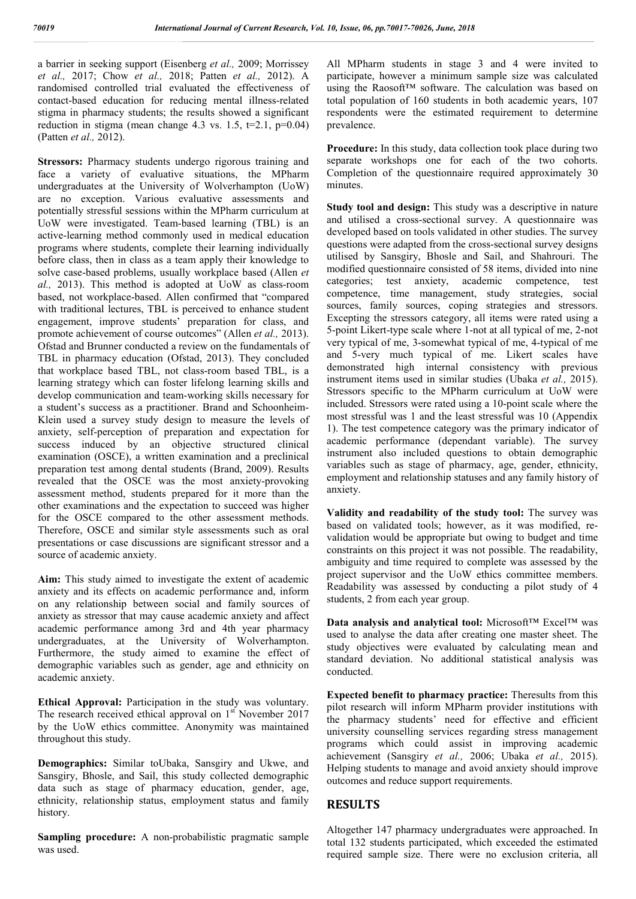a barrier in seeking support (Eisenberg *et al.,* 2009; Morrissey *et al.,* 2017; Chow *et al.,* 2018; Patten *et al.,* 2012). A randomised controlled trial evaluated the effectiveness of contact-based education for reducing mental illness-related stigma in pharmacy students; the results showed a significant reduction in stigma (mean change  $4.3$  vs. 1.5,  $t=2.1$ ,  $p=0.04$ ) (Patten *et al.,* 2012).

**Stressors:** Pharmacy students undergo rigorous training and face a variety of evaluative situations, the MPharm undergraduates at the University of Wolverhampton (UoW) are no exception. Various evaluative assessments and potentially stressful sessions within the MPharm curriculum at UoW were investigated. Team-based learning (TBL) is an active-learning method commonly used in medical education programs where students, complete their learning individually before class, then in class as a team apply their knowledge to solve case-based problems, usually workplace based (Allen *et al.,* 2013). This method is adopted at UoW as class-room based, not workplace-based. Allen confirmed that "compared with traditional lectures, TBL is perceived to enhance student engagement, improve students' preparation for class, and promote achievement of course outcomes" (Allen *et al.,* 2013). Ofstad and Brunner conducted a review on the fundamentals of TBL in pharmacy education (Ofstad, 2013). They concluded that workplace based TBL, not class-room based TBL, is a learning strategy which can foster lifelong learning skills and develop communication and team-working skills necessary for a student's success as a practitioner. Brand and Schoonheim-Klein used a survey study design to measure the levels of anxiety, self-perception of preparation and expectation for success induced by an objective structured clinical examination (OSCE), a written examination and a preclinical preparation test among dental students (Brand, 2009). Results revealed that the OSCE was the most anxiety-provoking assessment method, students prepared for it more than the other examinations and the expectation to succeed was higher for the OSCE compared to the other assessment methods. Therefore, OSCE and similar style assessments such as oral presentations or case discussions are significant stressor and a source of academic anxiety.

**Aim:** This study aimed to investigate the extent of academic anxiety and its effects on academic performance and, inform on any relationship between social and family sources of anxiety as stressor that may cause academic anxiety and affect academic performance among 3rd and 4th year pharmacy undergraduates, at the University of Wolverhampton. Furthermore, the study aimed to examine the effect of demographic variables such as gender, age and ethnicity on academic anxiety.

**Ethical Approval:** Participation in the study was voluntary. The research received ethical approval on  $1<sup>st</sup>$  November 2017 by the UoW ethics committee. Anonymity was maintained throughout this study.

**Demographics:** Similar toUbaka, Sansgiry and Ukwe, and Sansgiry, Bhosle, and Sail, this study collected demographic data such as stage of pharmacy education, gender, age, ethnicity, relationship status, employment status and family history.

**Sampling procedure:** A non-probabilistic pragmatic sample was used.

All MPharm students in stage 3 and 4 were invited to participate, however a minimum sample size was calculated using the Raosoft™ software. The calculation was based on total population of 160 students in both academic years, 107 respondents were the estimated requirement to determine prevalence.

**Procedure:** In this study, data collection took place during two separate workshops one for each of the two cohorts. Completion of the questionnaire required approximately 30 minutes.

**Study tool and design:** This study was a descriptive in nature and utilised a cross-sectional survey. A questionnaire was developed based on tools validated in other studies. The survey questions were adapted from the cross-sectional survey designs utilised by Sansgiry, Bhosle and Sail, and Shahrouri. The modified questionnaire consisted of 58 items, divided into nine categories; test anxiety, academic competence, test competence, time management, study strategies, social sources, family sources, coping strategies and stressors. Excepting the stressors category, all items were rated using a 5-point Likert-type scale where 1-not at all typical of me, 2-not very typical of me, 3-somewhat typical of me, 4-typical of me and 5-very much typical of me. Likert scales have demonstrated high internal consistency with previous instrument items used in similar studies (Ubaka *et al.,* 2015). Stressors specific to the MPharm curriculum at UoW were included. Stressors were rated using a 10-point scale where the most stressful was 1 and the least stressful was 10 (Appendix 1). The test competence category was the primary indicator of academic performance (dependant variable). The survey instrument also included questions to obtain demographic variables such as stage of pharmacy, age, gender, ethnicity, employment and relationship statuses and any family history of anxiety.

**Validity and readability of the study tool:** The survey was based on validated tools; however, as it was modified, revalidation would be appropriate but owing to budget and time constraints on this project it was not possible. The readability, ambiguity and time required to complete was assessed by the project supervisor and the UoW ethics committee members. Readability was assessed by conducting a pilot study of 4 students, 2 from each year group.

**Data analysis and analytical tool:** Microsoft™ Excel™ was used to analyse the data after creating one master sheet. The study objectives were evaluated by calculating mean and standard deviation. No additional statistical analysis was conducted.

**Expected benefit to pharmacy practice:** Theresults from this pilot research will inform MPharm provider institutions with the pharmacy students' need for effective and efficient university counselling services regarding stress management programs which could assist in improving academic achievement (Sansgiry *et al.,* 2006; Ubaka *et al.,* 2015). Helping students to manage and avoid anxiety should improve outcomes and reduce support requirements.

## **RESULTS**

Altogether 147 pharmacy undergraduates were approached. In total 132 students participated, which exceeded the estimated required sample size. There were no exclusion criteria, all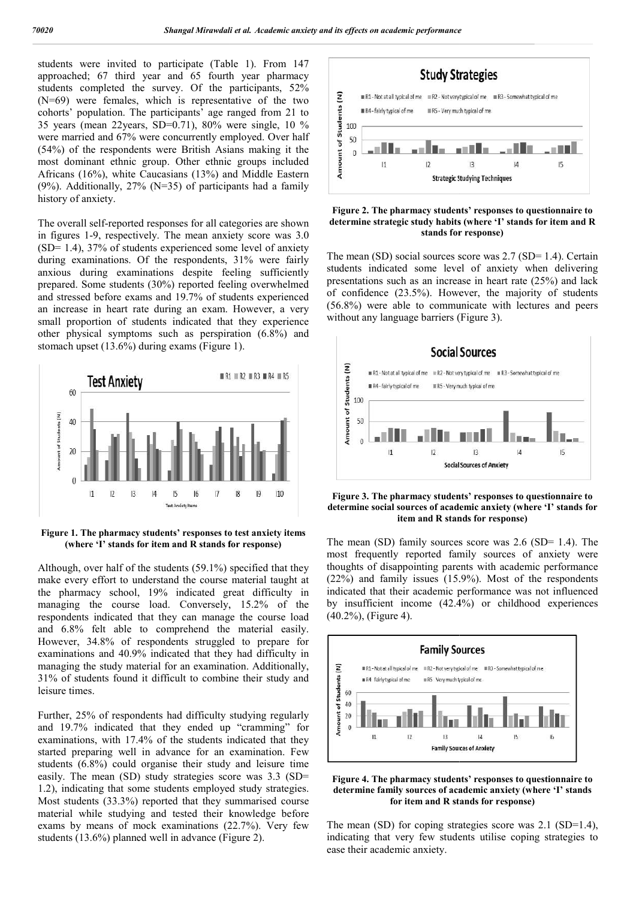students were invited to participate (Table 1). From 147 approached; 67 third year and 65 fourth year pharmacy students completed the survey. Of the participants, 52% (N=69) were females, which is representative of the two cohorts' population. The participants' age ranged from 21 to 35 years (mean 22years, SD=0.71), 80% were single, 10 % were married and 67% were concurrently employed. Over half (54%) of the respondents were British Asians making it the most dominant ethnic group. Other ethnic groups included Africans (16%), white Caucasians (13%) and Middle Eastern  $(9\%)$ . Additionally, 27% (N=35) of participants had a family history of anxiety. nant ethnic group. Other ethnic groups included  $6\%$ ), white Caucasians (13%) and Middle Eastern tionally,  $27\%$  (N=35) of participants had a family nxiety.<br>self-reported responses for all categories are shown al-9, res

The overall self-reported responses for all categories are shown in figures 1-9, respectively. The mean anxiety score was 3.0  $(SD= 1.4)$ , 37% of students experienced some level of anxiety during examinations. Of the respondents, 31% were fairly anxious during examinations despite feeling sufficiently prepared. Some students (30%) reported feeling overwhelmed and stressed before exams and 19.7% of students experienced an increase in heart rate during an exam. However, a very small proportion of students indicated that they experience other physical symptoms such as perspiration (6.8%) and stomach upset (13.6%) during exams (Figure 1).



**Figure 1. The pharmacy students' responses to test anxiety items (where 'I' stands for item and R stands for response)**

Although, over half of the students (59.1%) specified that they make every effort to understand the course material taught at the pharmacy school, 19% indicated great difficulty in managing the course load. Conversely, 15.2% of the respondents indicated that they can manage the course load and 6.8% felt able to comprehend the material easily. However, 34.8% of respondents struggled to prepare for examinations and 40.9% indicated that they had difficulty in managing the study material for an examination. Additionally, 31% of students found it difficult to combine their study and leisure times.

Further, 25% of respondents had difficulty studying regularly and 19.7% indicated that they ended up "cramming" for examinations, with 17.4% of the students indicated that they started preparing well in advance for an examination. Few students (6.8%) could organise their study and leisure time easily. The mean (SD) study strategies score was 3.3 (SD= 1.2), indicating that some students employed study strategies. Most students (33.3%) reported that they summarised course material while studying and tested their knowledge before exams by means of mock examinations (22.7%). Very few students (13.6%) planned well in advance (Figure 2).



#### **Figure 2. The pharmacy students' responses to questionnaire to**  Figure 2. The pharmacy students' responses to questionnaire to determine strategic study habits (where 'I' stands for item and R **stands for response)**

The mean (SD) social sources score was 2.7 (SD= 1.4). Certain students indicated some level of anxiety when delivering presentations such as an increase in heart rate (25%) and lack of confidence (23.5%). However, the majority of students (56.8%) were able to communicate with lectures and peers without any language barriers (Figure 3). (SD= 1.4). Ce licated some level of anxiety when delives such as an increase in heart rate  $(25\%)$  and ce  $(23.5\%)$ . However, the majority of stude and language barriers (Figure 3).



**Figure 3. The pharmacy students' responses to questionnaire to**  Figure 3. The pharmacy students' responses to questionnaire to determine social sources of academic anxiety (where 'I' stands for **item and R stands for response) stands for** 

The mean (SD) family sources score was 2.6 (SD= 1.4). The most frequently reported family sources of anxiety were thoughts of disappointing parents with academic performance (22%) and family issues (15.9%). Most of the respondents indicated that their academic performance was not influenced by insufficient income  $(42.4%)$  or childhood experiences (40.2%), (Figure 4). an (SD) family sources score was 2.6 (SD= 1.4). The requently reported family sources of anxiety were s of disappointing parents with academic performance and family issues  $(15.9%)$ . Most of the respondents d that their a



**Figure 4. The pharmacy students' responses to questionnaire to determine family sources of academic anxiety (where 'I' stands for item and R sta** students' responses to questionnaire to<br>s of academic anxiety (where 'I' stands<br>**id R stands for response**)

The mean (SD) for coping strategies score was 2.1 (SD=1.4), indicating that very few students utilise coping strategies to ease their academic anxiety.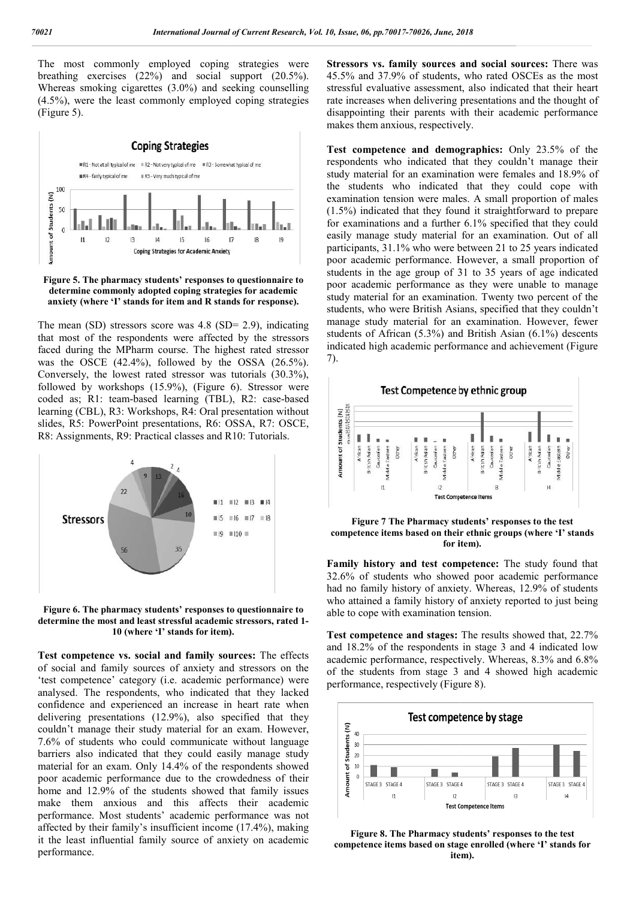The most commonly employed coping strategies were breathing exercises (22%) and social support (20.5%). Whereas smoking cigarettes (3.0%) and seeking counselling (4.5%), were the least commonly employed coping strategies (Figure 5).



**Figure 5. The pharmacy students' responses to questionnaire to determine commonly adopted coping strategies for academic anxiety (where 'I' stands for item and R stands for response).**

The mean (SD) stressors score was 4.8 (SD= 2.9), indicating that most of the respondents were affected by the stressors faced during the MPharm course. The highest rated stressor was the OSCE  $(42.4\%)$ , followed by the OSSA  $(26.5\%)$ . Conversely, the lowest rated stressor was tutorials (30.3%), followed by workshops (15.9%), (Figure 6). Stressor were coded as; R1: team-based learning (TBL), R2: case-based learning (CBL), R3: Workshops, R4: Oral presentation without slides, R5: PowerPoint presentations, R6: OSSA, R7: OSCE, R8: Assignments, R9: Practical classes and R10: Tutorials.



**Figure 6. The pharmacy students' responses to questionnaire to determine the most and least stressful academic stressors, rated 1 1- 10 (where 'I' stands for item).**

Test competence vs. social and family sources: The effects of social and family sources of anxiety and stressors on the 'test competence' category (i.e. academic performance) were analysed. The respondents, who indicated that they lacked confidence and experienced an increase in heart rate when delivering presentations (12.9%), also specified that they couldn't manage their study material for an exam. However, 7.6% of students who could communicate without language barriers also indicated that they could easily manage study material for an exam. Only 14.4% of the respondents showed poor academic performance due to the crowdedness of their home and 12.9% of the students showed that family issues make them anxious and this affects their academic material for an exam. Only 14.4% of the respondents showed<br>poor academic performance due to the crowdedness of their<br>home and 12.9% of the students showed that family issues<br>make them anxious and this affects their academi affected by their family's insufficient income (17.4%), making it the least influential family source of anxiety on academic performance.

**Stressors vs. family sources and social sources: There was** 45.5% and 37.9% of students, who rated OSCEs as 45.5% of students, the most stressful evaluative assessment, also indicated that their heart rate increases when delivering presentations and the thought of disappointing their parents with their academic performance makes them anxious, respectively. rate increases when delivering presentations and the disappointing their parents with their academic per makes them anxious, respectively.

**Test competence and demographics:** Only 23.5% of the respondents who indicated that they couldn't manage their study material for an examination were females and 18.9% of the students who indicated that they could cope with respondents who indicated that they couldn't manage their study material for an examination were females and 18.9% of the students who indicated that they could cope with examination tension were males. A small proportion (1.5%) indicated that they found it straightforward to prepare for examinations and a further 6.1% specified that they could easily manage study material for an examination. Out of all participants, 31.1% who were between 21 to 25 years indicated poor academic performance. However, a small proportion of students in the age group of 31 to 35 years of age indicated poor academic performance as they were unable to manage study material for an examination. Twenty two percent of the students, who were British Asians, specified that they couldn't manage study material for an examination. However, fewer students of African (5.3%) and British Asian (6.1%) descents indicated high academic performance and achievement (Figure 7). (%) indicated that they found it straightforward to prepare examinations and a further 6.1% specified that they could ly manage study material for an examination. Out of all iccipants, 31.1% who were between 21 to 25 year **stand solution**<br> **s and social sources:** There we<br> **stand social sources** as the most<br>
experiment, also indicated that their head<br>
experimentions and the thought term and the three proformance<br>
with their academic perform



**Figure 7 The Pharmacy students' responses to the test competence items based on their ethnic groups (where 'I' stands for item). Family history and test competence:** The study found that **Family history and test competence:** The study found that

32.6% of students who showed poor academic performance 32.6% of students who showed poor academic performance had no family history of anxiety. Whereas, 12.9% of students who attained a family history of anxiety reported to just being able to cope with examination tension.

**Test competence and stages:** The results showed that, 22.7% and 18.2% of the respondents in stage 3 and 4 indicated low academic performance, respectively. Whereas, 8.3% and 6.8% of the students from stage 3 and 4 showed high academic performance, respectively (Figure 8). and 18.2% of the respondents in stage 3 and 4 indicated academic performance, respectively. Whereas, 8.3% and 6 of the students from stage 3 and 4 showed high acade performance, respectively (Figure 8).



**Figure 8. The Pharmacy students' responses to the test competence items based on stage enrolled (where 'I' stands for item).**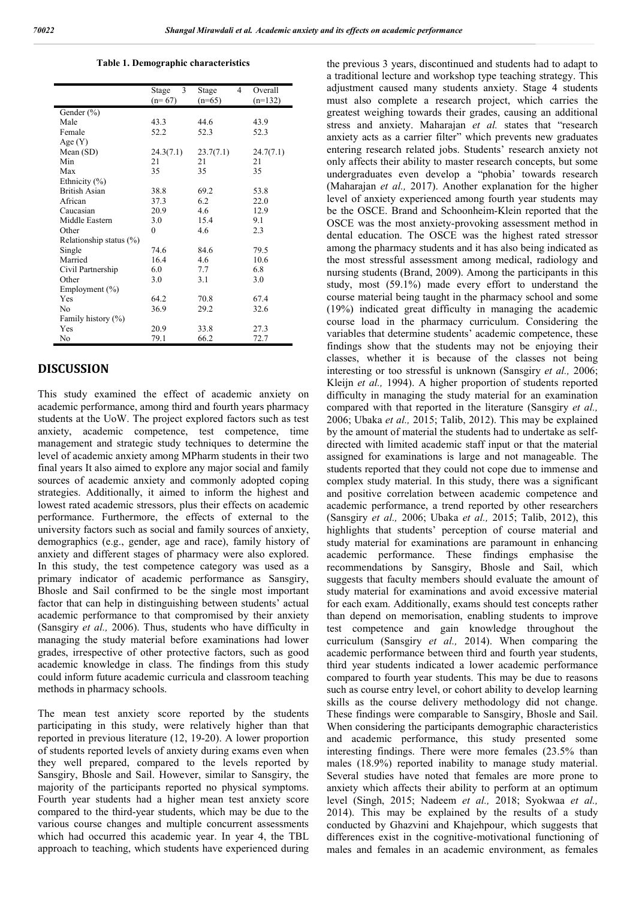**Table 1. Demographic characteristics**

|                            | 3<br>Stage<br>$(n=67)$ | 4<br>Stage<br>$(n=65)$ | Overall<br>$(n=132)$ |
|----------------------------|------------------------|------------------------|----------------------|
| Gender (%)                 |                        |                        |                      |
| Male                       | 43.3                   | 44.6                   | 43.9                 |
| Female                     | 52.2                   | 52.3                   | 52.3                 |
| Age $(Y)$                  |                        |                        |                      |
| Mean $(SD)$                | 24.3(7.1)              | 23.7(7.1)              | 24.7(7.1)            |
| Min                        | 21                     | 21                     | 21                   |
| Max                        | 35                     | 35                     | 35                   |
| Ethnicity (%)              |                        |                        |                      |
| <b>British Asian</b>       | 38.8                   | 69.2                   | 53.8                 |
| African                    | 37.3                   | 6.2                    | 22.0                 |
| Caucasian                  | 20.9                   | 4.6                    | 12.9                 |
| Middle Eastern             | 3.0                    | 15.4                   | 9.1                  |
|                            |                        | 4.6                    |                      |
| Other                      | $\theta$               |                        | 2.3                  |
| Relationship status $(\%)$ |                        |                        |                      |
| Single                     | 74.6                   | 84.6                   | 79.5                 |
| Married                    | 16.4                   | 4.6                    | 10.6                 |
| Civil Partnership          | 6.0                    | 7.7                    | 6.8                  |
| Other                      | 3.0                    | 3.1                    | 3.0                  |
| Employment $(\% )$         |                        |                        |                      |
| Yes                        | 64.2                   | 70.8                   | 67.4                 |
| No                         | 36.9                   | 29.2                   | 32.6                 |
| Family history (%)         |                        |                        |                      |
| Yes                        | 20.9                   | 33.8                   | 27.3                 |
| No                         | 79.1                   | 66.2                   | 72.7                 |

## **DISCUSSION**

This study examined the effect of academic anxiety on academic performance, among third and fourth years pharmacy students at the UoW. The project explored factors such as test anxiety, academic competence, test competence, time management and strategic study techniques to determine the level of academic anxiety among MPharm students in their two final years It also aimed to explore any major social and family sources of academic anxiety and commonly adopted coping strategies. Additionally, it aimed to inform the highest and lowest rated academic stressors, plus their effects on academic performance. Furthermore, the effects of external to the university factors such as social and family sources of anxiety, demographics (e.g., gender, age and race), family history of anxiety and different stages of pharmacy were also explored. In this study, the test competence category was used as a primary indicator of academic performance as Sansgiry, Bhosle and Sail confirmed to be the single most important factor that can help in distinguishing between students' actual academic performance to that compromised by their anxiety (Sansgiry *et al.,* 2006). Thus, students who have difficulty in managing the study material before examinations had lower grades, irrespective of other protective factors, such as good academic knowledge in class. The findings from this study could inform future academic curricula and classroom teaching methods in pharmacy schools.

The mean test anxiety score reported by the students participating in this study, were relatively higher than that reported in previous literature (12, 19-20). A lower proportion of students reported levels of anxiety during exams even when they well prepared, compared to the levels reported by Sansgiry, Bhosle and Sail. However, similar to Sansgiry, the majority of the participants reported no physical symptoms. Fourth year students had a higher mean test anxiety score compared to the third-year students, which may be due to the various course changes and multiple concurrent assessments which had occurred this academic year. In year 4, the TBL approach to teaching, which students have experienced during the previous 3 years, discontinued and students had to adapt to a traditional lecture and workshop type teaching strategy. This adjustment caused many students anxiety. Stage 4 students must also complete a research project, which carries the greatest weighing towards their grades, causing an additional stress and anxiety. Maharajan *et al.* states that "research anxiety acts as a carrier filter" which prevents new graduates entering research related jobs. Students' research anxiety not only affects their ability to master research concepts, but some undergraduates even develop a "phobia' towards research (Maharajan *et al.,* 2017). Another explanation for the higher level of anxiety experienced among fourth year students may be the OSCE. Brand and Schoonheim-Klein reported that the OSCE was the most anxiety-provoking assessment method in dental education. The OSCE was the highest rated stressor among the pharmacy students and it has also being indicated as the most stressful assessment among medical, radiology and nursing students (Brand, 2009). Among the participants in this study, most (59.1%) made every effort to understand the course material being taught in the pharmacy school and some (19%) indicated great difficulty in managing the academic course load in the pharmacy curriculum. Considering the variables that determine students' academic competence, these findings show that the students may not be enjoying their classes, whether it is because of the classes not being interesting or too stressful is unknown (Sansgiry *et al.,* 2006; Kleijn *et al.,* 1994). A higher proportion of students reported difficulty in managing the study material for an examination compared with that reported in the literature (Sansgiry *et al.,*  2006; Ubaka *et al.,* 2015; Talib, 2012). This may be explained by the amount of material the students had to undertake as selfdirected with limited academic staff input or that the material assigned for examinations is large and not manageable. The students reported that they could not cope due to immense and complex study material. In this study, there was a significant and positive correlation between academic competence and academic performance, a trend reported by other researchers (Sansgiry *et al.,* 2006; Ubaka *et al.,* 2015; Talib, 2012), this highlights that students' perception of course material and study material for examinations are paramount in enhancing academic performance. These findings emphasise the recommendations by Sansgiry, Bhosle and Sail, which suggests that faculty members should evaluate the amount of study material for examinations and avoid excessive material for each exam. Additionally, exams should test concepts rather than depend on memorisation, enabling students to improve test competence and gain knowledge throughout the curriculum (Sansgiry *et al.,* 2014). When comparing the academic performance between third and fourth year students, third year students indicated a lower academic performance compared to fourth year students. This may be due to reasons such as course entry level, or cohort ability to develop learning skills as the course delivery methodology did not change. These findings were comparable to Sansgiry, Bhosle and Sail. When considering the participants demographic characteristics and academic performance, this study presented some interesting findings. There were more females (23.5% than males (18.9%) reported inability to manage study material. Several studies have noted that females are more prone to anxiety which affects their ability to perform at an optimum level (Singh, 2015; Nadeem *et al.,* 2018; Syokwaa *et al.,*  2014). This may be explained by the results of a study conducted by Ghazvini and Khajehpour, which suggests that differences exist in the cognitive-motivational functioning of males and females in an academic environment, as females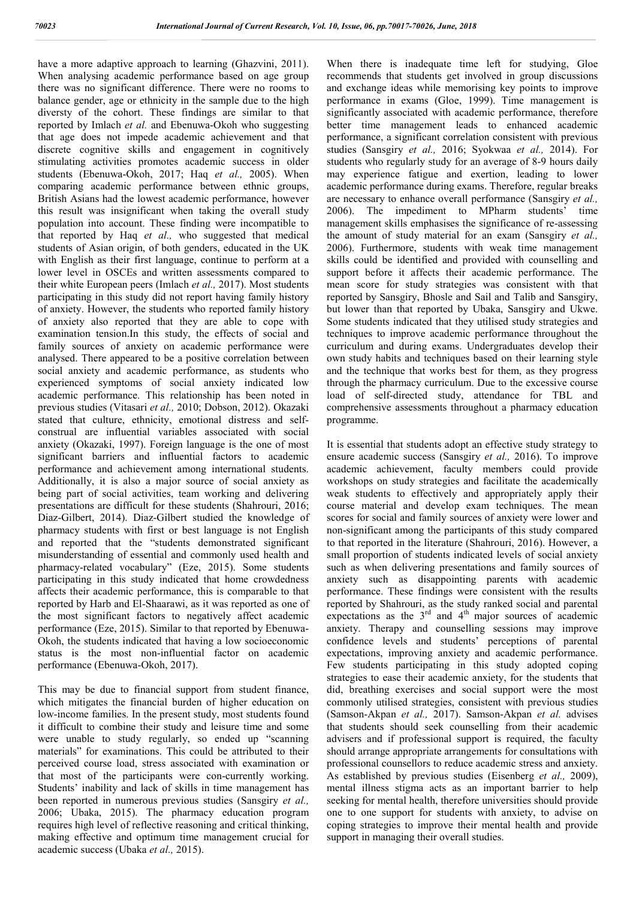have a more adaptive approach to learning (Ghazvini, 2011). When analysing academic performance based on age group there was no significant difference. There were no rooms to balance gender, age or ethnicity in the sample due to the high diversty of the cohort. These findings are similar to that reported by Imlach *et al.* and Ebenuwa-Okoh who suggesting that age does not impede academic achievement and that discrete cognitive skills and engagement in cognitively stimulating activities promotes academic success in older students (Ebenuwa-Okoh, 2017; Haq *et al.,* 2005). When comparing academic performance between ethnic groups, British Asians had the lowest academic performance, however this result was insignificant when taking the overall study population into account. These finding were incompatible to that reported by Haq *et al.,* who suggested that medical students of Asian origin, of both genders, educated in the UK with English as their first language, continue to perform at a lower level in OSCEs and written assessments compared to their white European peers (Imlach *et al.,* 2017). Most students participating in this study did not report having family history of anxiety. However, the students who reported family history of anxiety also reported that they are able to cope with examination tension.In this study, the effects of social and family sources of anxiety on academic performance were analysed. There appeared to be a positive correlation between social anxiety and academic performance, as students who experienced symptoms of social anxiety indicated low academic performance. This relationship has been noted in previous studies (Vitasari *et al.,* 2010; Dobson, 2012). Okazaki stated that culture, ethnicity, emotional distress and selfconstrual are influential variables associated with social anxiety (Okazaki, 1997). Foreign language is the one of most significant barriers and influential factors to academic performance and achievement among international students. Additionally, it is also a major source of social anxiety as being part of social activities, team working and delivering presentations are difficult for these students (Shahrouri, 2016; Diaz-Gilbert, 2014). Diaz-Gilbert studied the knowledge of pharmacy students with first or best language is not English and reported that the "students demonstrated significant misunderstanding of essential and commonly used health and pharmacy-related vocabulary" (Eze, 2015). Some students participating in this study indicated that home crowdedness affects their academic performance, this is comparable to that reported by Harb and El-Shaarawi, as it was reported as one of the most significant factors to negatively affect academic performance (Eze, 2015). Similar to that reported by Ebenuwa-Okoh, the students indicated that having a low socioeconomic status is the most non-influential factor on academic performance (Ebenuwa-Okoh, 2017).

This may be due to financial support from student finance, which mitigates the financial burden of higher education on low-income families. In the present study, most students found it difficult to combine their study and leisure time and some were unable to study regularly, so ended up "scanning materials" for examinations. This could be attributed to their perceived course load, stress associated with examination or that most of the participants were con-currently working. Students' inability and lack of skills in time management has been reported in numerous previous studies (Sansgiry *et al.,*  2006; Ubaka, 2015). The pharmacy education program requires high level of reflective reasoning and critical thinking, making effective and optimum time management crucial for academic success (Ubaka *et al.,* 2015).

When there is inadequate time left for studying, Gloe recommends that students get involved in group discussions and exchange ideas while memorising key points to improve performance in exams (Gloe, 1999). Time management is significantly associated with academic performance, therefore better time management leads to enhanced academic performance, a significant correlation consistent with previous studies (Sansgiry *et al.,* 2016; Syokwaa *et al.,* 2014). For students who regularly study for an average of 8-9 hours daily may experience fatigue and exertion, leading to lower academic performance during exams. Therefore, regular breaks are necessary to enhance overall performance (Sansgiry *et al.,*  2006). The impediment to MPharm students' time management skills emphasises the significance of re-assessing the amount of study material for an exam (Sansgiry *et al.,*  2006). Furthermore, students with weak time management skills could be identified and provided with counselling and support before it affects their academic performance. The mean score for study strategies was consistent with that reported by Sansgiry, Bhosle and Sail and Talib and Sansgiry, but lower than that reported by Ubaka, Sansgiry and Ukwe. Some students indicated that they utilised study strategies and techniques to improve academic performance throughout the curriculum and during exams. Undergraduates develop their own study habits and techniques based on their learning style and the technique that works best for them, as they progress through the pharmacy curriculum. Due to the excessive course load of self-directed study, attendance for TBL and comprehensive assessments throughout a pharmacy education programme.

It is essential that students adopt an effective study strategy to ensure academic success (Sansgiry *et al.,* 2016). To improve academic achievement, faculty members could provide workshops on study strategies and facilitate the academically weak students to effectively and appropriately apply their course material and develop exam techniques. The mean scores for social and family sources of anxiety were lower and non-significant among the participants of this study compared to that reported in the literature (Shahrouri, 2016). However, a small proportion of students indicated levels of social anxiety such as when delivering presentations and family sources of anxiety such as disappointing parents with academic performance. These findings were consistent with the results reported by Shahrouri, as the study ranked social and parental expectations as the  $3<sup>rd</sup>$  and  $4<sup>th</sup>$  major sources of academic anxiety. Therapy and counselling sessions may improve confidence levels and students' perceptions of parental expectations, improving anxiety and academic performance. Few students participating in this study adopted coping strategies to ease their academic anxiety, for the students that did, breathing exercises and social support were the most commonly utilised strategies, consistent with previous studies (Samson-Akpan *et al.,* 2017). Samson-Akpan *et al.* advises that students should seek counselling from their academic advisers and if professional support is required, the faculty should arrange appropriate arrangements for consultations with professional counsellors to reduce academic stress and anxiety. As established by previous studies (Eisenberg *et al.,* 2009), mental illness stigma acts as an important barrier to help seeking for mental health, therefore universities should provide one to one support for students with anxiety, to advise on coping strategies to improve their mental health and provide support in managing their overall studies.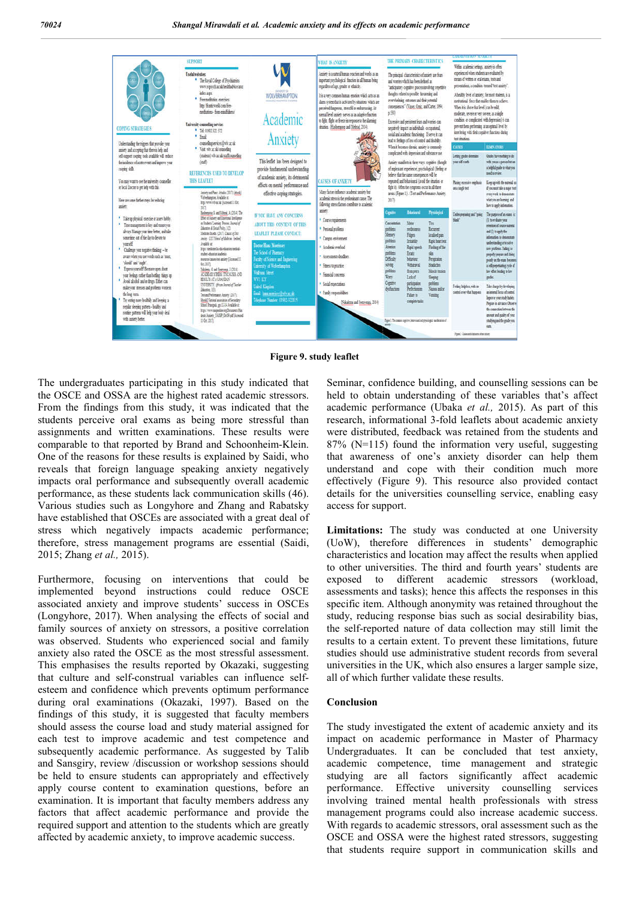

**Figure 9. study leaflet**

The undergraduates participating in this study indicated that the OSCE and OSSA are the highest rated academic stressors. From the findings from this study, it was indicated that the students perceive oral exams as being more stressful than assignments and written examinations. These results were comparable to that reported by Brand and Schoonheim-Klein. One of the reasons for these results is explained by Saidi, who reveals that foreign language speaking anxiety negatively impacts oral performance and subsequently overall academic performance, as these students lack communication skills (46). Various studies such as Longyhore and Zhang and Rabatsky have established that OSCEs are associated with a great deal of stress which negatively impacts academic performance; therefore, stress management programs are essential (Saidi, 2015; Zhang *et al.,* 2015).

Furthermore, focusing on interventions that could be implemented beyond instructions could reduce OSCE associated anxiety and improve students' success in OSCEs (Longyhore, 2017). When analysing the effects of social and family sources of anxiety on stressors, a positive correlation was observed. Students who experienced social and family anxiety also rated the OSCE as the most stressful assessment. This emphasises the results reported by Okazaki, suggesting that culture and self-construal variables can influence selfesteem and confidence which prevents optimum performance during oral examinations (Okazaki, 1997). Based on the findings of this study, it is suggested that faculty members should assess the course load and study material assigned for each test to improve academic and test competence and subsequently academic performance. As suggested by Talib and Sansgiry, review /discussion or workshop sessions should be held to ensure students can appropriately and effectively apply course content to examination questions, before an examination. It is important that faculty members address any factors that affect academic performance and provide the required support and attention to the students which are greatly affected by academic anxiety, to improve academic success.

Seminar, confidence building, and counselling sessions can be held to obtain understanding of these variables that's affect academic performance (Ubaka *et al.,* 2015). As part of this research, informational 3-fold leaflets about academic anxiety were distributed, feedback was retained from the students and 87% (N=115) found the information very useful, suggesting that awareness of one's anxiety disorder can help them understand and cope with their condition much more effectively (Figure 9). This resource also provided contact details for the universities counselling service, enabling easy access for support.

**Limitations:** The study was conducted at one University (UoW), therefore differences in students' demographic characteristics and location may affect the results when applied to other universities. The third and fourth years' students are exposed to different academic stressors (workload, assessments and tasks); hence this affects the responses in this specific item. Although anonymity was retained throughout the study, reducing response bias such as social desirability bias, the self-reported nature of data collection may still limit the results to a certain extent. To prevent these limitations, future studies should use administrative student records from several universities in the UK, which also ensures a larger sample size, all of which further validate these results.

#### **Conclusion**

The study investigated the extent of academic anxiety and its impact on academic performance in Master of Pharmacy Undergraduates. It can be concluded that test anxiety, academic competence, time management and strategic studying are all factors significantly affect academic performance. Effective university counselling services involving trained mental health professionals with stress management programs could also increase academic success. With regards to academic stressors, oral assessment such as the OSCE and OSSA were the highest rated stressors, suggesting that students require support in communication skills and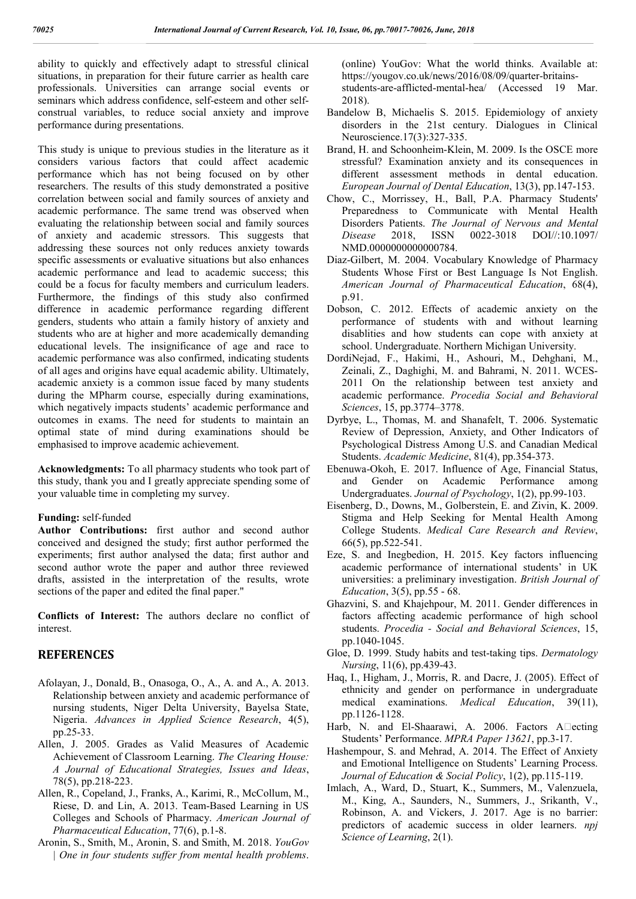ability to quickly and effectively adapt to stressful clinical situations, in preparation for their future carrier as health care professionals. Universities can arrange social events or seminars which address confidence, self-esteem and other selfconstrual variables, to reduce social anxiety and improve performance during presentations.

This study is unique to previous studies in the literature as it considers various factors that could affect academic performance which has not being focused on by other researchers. The results of this study demonstrated a positive correlation between social and family sources of anxiety and academic performance. The same trend was observed when evaluating the relationship between social and family sources of anxiety and academic stressors. This suggests that addressing these sources not only reduces anxiety towards specific assessments or evaluative situations but also enhances academic performance and lead to academic success; this could be a focus for faculty members and curriculum leaders. Furthermore, the findings of this study also confirmed difference in academic performance regarding different genders, students who attain a family history of anxiety and students who are at higher and more academically demanding educational levels. The insignificance of age and race to academic performance was also confirmed, indicating students of all ages and origins have equal academic ability. Ultimately, academic anxiety is a common issue faced by many students during the MPharm course, especially during examinations, which negatively impacts students' academic performance and outcomes in exams. The need for students to maintain an optimal state of mind during examinations should be emphasised to improve academic achievement.

**Acknowledgments:** To all pharmacy students who took part of this study, thank you and I greatly appreciate spending some of your valuable time in completing my survey.

#### **Funding:** self-funded

**Author Contributions:** first author and second author conceived and designed the study; first author performed the experiments; first author analysed the data; first author and second author wrote the paper and author three reviewed drafts, assisted in the interpretation of the results, wrote sections of the paper and edited the final paper."

**Conflicts of Interest:** The authors declare no conflict of interest.

## **REFERENCES**

- Afolayan, J., Donald, B., Onasoga, O., A., A. and A., A. 2013. Relationship between anxiety and academic performance of nursing students, Niger Delta University, Bayelsa State, Nigeria. *Advances in Applied Science Research*, 4(5), pp.25-33.
- Allen, J. 2005. Grades as Valid Measures of Academic Achievement of Classroom Learning. *The Clearing House: A Journal of Educational Strategies, Issues and Ideas*, 78(5), pp.218-223.
- Allen, R., Copeland, J., Franks, A., Karimi, R., McCollum, M., Riese, D. and Lin, A. 2013. Team-Based Learning in US Colleges and Schools of Pharmacy. *American Journal of Pharmaceutical Education*, 77(6), p.1-8.
- Aronin, S., Smith, M., Aronin, S. and Smith, M. 2018. *YouGov | One in four students suffer from mental health problems*.

(online) YouGov: What the world thinks. Available at: https://yougov.co.uk/news/2016/08/09/quarter-britainsstudents-are-afflicted-mental-hea/ (Accessed 19 Mar. 2018).

- Bandelow B, Michaelis S. 2015. Epidemiology of anxiety disorders in the 21st century. Dialogues in Clinical Neuroscience.17(3):327-335.
- Brand, H. and Schoonheim-Klein, M. 2009. Is the OSCE more stressful? Examination anxiety and its consequences in different assessment methods in dental education. *European Journal of Dental Education*, 13(3), pp.147-153.
- Chow, C., Morrissey, H., Ball, P.A. Pharmacy Students' Preparedness to Communicate with Mental Health Disorders Patients. *The Journal of Nervous and Mental Disease* 2018, ISSN 0022-3018 DOI//:10.1097/ NMD.0000000000000784.
- Diaz-Gilbert, M. 2004. Vocabulary Knowledge of Pharmacy Students Whose First or Best Language Is Not English. *American Journal of Pharmaceutical Education*, 68(4), p.91.
- Dobson, C. 2012. Effects of academic anxiety on the performance of students with and without learning disablities and how students can cope with anxiety at school. Undergraduate. Northern Michigan University.
- DordiNejad, F., Hakimi, H., Ashouri, M., Dehghani, M., Zeinali, Z., Daghighi, M. and Bahrami, N. 2011. WCES-2011 On the relationship between test anxiety and academic performance. *Procedia Social and Behavioral Sciences*, 15, pp.3774–3778.
- Dyrbye, L., Thomas, M. and Shanafelt, T. 2006. Systematic Review of Depression, Anxiety, and Other Indicators of Psychological Distress Among U.S. and Canadian Medical Students. *Academic Medicine*, 81(4), pp.354-373.
- Ebenuwa-Okoh, E. 2017. Influence of Age, Financial Status, and Gender on Academic Performance among Undergraduates. *Journal of Psychology*, 1(2), pp.99-103.
- Eisenberg, D., Downs, M., Golberstein, E. and Zivin, K. 2009. Stigma and Help Seeking for Mental Health Among College Students. *Medical Care Research and Review*, 66(5), pp.522-541.
- Eze, S. and Inegbedion, H. 2015. Key factors influencing academic performance of international students' in UK universities: a preliminary investigation. *British Journal of Education*, 3(5), pp.55 - 68.
- Ghazvini, S. and Khajehpour, M. 2011. Gender differences in factors affecting academic performance of high school students. *Procedia - Social and Behavioral Sciences*, 15, pp.1040-1045.
- Gloe, D. 1999. Study habits and test-taking tips. *Dermatology Nursing*, 11(6), pp.439-43.
- Haq, I., Higham, J., Morris, R. and Dacre, J. (2005). Effect of ethnicity and gender on performance in undergraduate medical examinations. *Medical Education*, 39(11), pp.1126-1128.
- Harb, N. and El-Shaarawi, A. 2006. Factors  $A \Box$ ecting Students' Performance. *MPRA Paper 13621*, pp.3-17.
- Hashempour, S. and Mehrad, A. 2014. The Effect of Anxiety and Emotional Intelligence on Students' Learning Process. *Journal of Education & Social Policy*, 1(2), pp.115-119.
- Imlach, A., Ward, D., Stuart, K., Summers, M., Valenzuela, M., King, A., Saunders, N., Summers, J., Srikanth, V., Robinson, A. and Vickers, J. 2017. Age is no barrier: predictors of academic success in older learners. *npj Science of Learning*, 2(1).